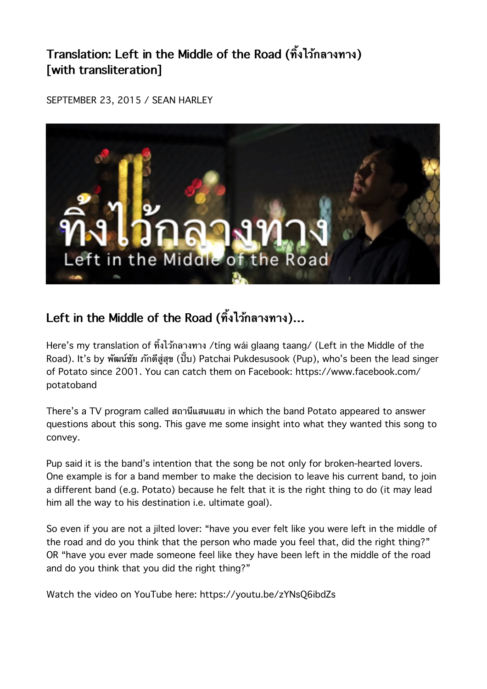## **Translation: Left in the Middle of the Road (ทงไวกลางทาง) [with transliteration]**

SEPTEMBER 23, 2015 / SEAN HARLEY



## **Left in the Middle of the Road (ทงไวกลางทาง)…**

Here's my translation of ทิ้งไว้กลางทาง /tíng wái glaang taang/ (Left in the Middle of the Road). It's by พัฒน์ชัย ภักดีสู่สุข (ปั๊บ) Patchai Pukdesusook (Pup), who's been the lead singer of Potato since 2001. You can catch them on Facebook: https://www.facebook.com/ potatoband

There's a TV program called สถานแสนแสบ in which the band Potato appeared to answer questions about this song. This gave me some insight into what they wanted this song to convey.

Pup said it is the band's intention that the song be not only for broken-hearted lovers. One example is for a band member to make the decision to leave his current band, to join a different band (e.g. Potato) because he felt that it is the right thing to do (it may lead him all the way to his destination i.e. ultimate goal).

So even if you are not a jilted lover: "have you ever felt like you were left in the middle of the road and do you think that the person who made you feel that, did the right thing?" OR "have you ever made someone feel like they have been left in the middle of the road and do you think that you did the right thing?"

Watch the video on YouTube here: https://youtu.be/zYNsQ6ibdZs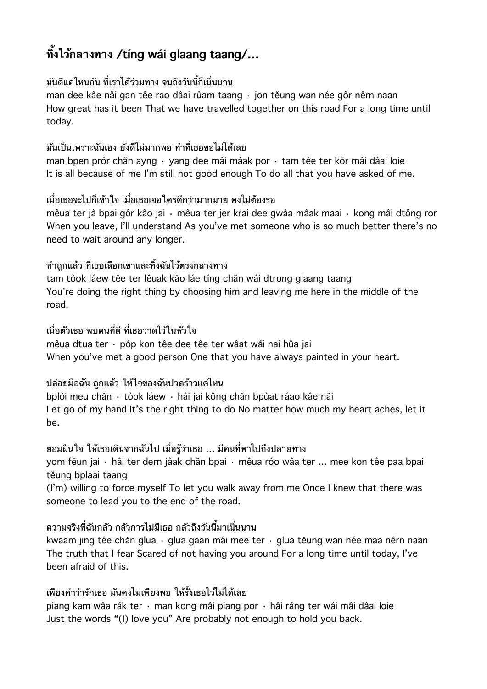# **ทงไวกลางทาง /tíng wái glaang taang/…**

#### ้มันดีแค่ไหนกัน ที่เราได้ร่วมทาง จนถึงวันนี้ก็เนิ่นนาน

man dee kâe năi gan têe rao dâai rûam taang · jon tĕung wan née gôr nêrn naan How great has it been That we have travelled together on this road For a long time until today.

### ้มันเป็นเพราะฉันเอง ยังดีไม่มากพอ ทำที่เธอขอไม่ได้เลย

man bpen prór chăn ayng · yang dee mâi mâak por · tam têe ter kŏr mâi dâai loie It is all because of me I'm still not good enough To do all that you have asked of me.

### เมอเธอจะไปกเขาใจ เมอเธอเจอใครดกวามากมาย คงไมตองรอ

mêua ter jà bpai gôr kâo jai · mêua ter jer krai dee gwàa mâak maai · kong mâi dtông ror When you leave, I'll understand As you've met someone who is so much better there's no need to wait around any longer.

### ี่ ทำถกแล้ว ที่เธอเลือกเขาและทิ้งฉันไว้ตรงกลางทาง

tam tòok láew têe ter lêuak kăo láe tíng chăn wái dtrong glaang taang You're doing the right thing by choosing him and leaving me here in the middle of the road.

### ้เมื่อตัวเธอ พบคนที่ดี ที่เธอวาดไว้ในหัวใจ

mêua dtua ter · póp kon têe dee têe ter wâat wái nai hŭa jai When you've met a good person One that you have always painted in your heart.

### ปลอยมอฉน ถกแลว ใหใจของฉนปวดราวแคไหน

bplòi meu chăn · tòok láew · hâi jai kŏng chăn bpùat ráao kâe năi Let go of my hand It's the right thing to do No matter how much my heart aches, let it be.

### ี่ ยอมฝืนใจ ให้เธอเดินจากฉันไป เมื่อรู้ว่าเธอ … มีคนที่พาไปถึงปลายทาง

yom fĕun jai · hâi ter dern jàak chăn bpai · mêua róo wâa ter … mee kon têe paa bpai tĕung bplaai taang

(I'm) willing to force myself To let you walk away from me Once I knew that there was someone to lead you to the end of the road.

### ้ ความจริงที่ฉันกลัว กลัวการไม่มีเธอ กลัวถึงวันนี้มาเนิ่นนาน

kwaam jing têe chăn glua · glua gaan mâi mee ter · glua tĕung wan née maa nêrn naan The truth that I fear Scared of not having you around For a long time until today, I've been afraid of this.

### เพียงคำว่ารักเธอ มันคงไม่เพียงพอ ให้รั้งเธอไว้ไม่ได้เลย

piang kam wâa rák ter · man kong mâi piang por · hâi ráng ter wái mâi dâai loie Just the words "(I) love you" Are probably not enough to hold you back.